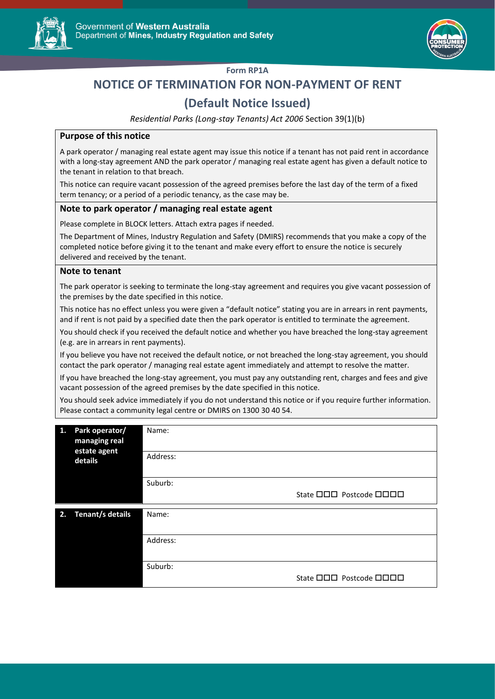



### **Form RP1A**

# **NOTICE OF TERMINATION FOR NON-PAYMENT OF RENT**

## **(Default Notice Issued)**

*Residential Parks (Long-stay Tenants) Act 2006* Section 39(1)(b)

#### **Purpose of this notice**

A park operator / managing real estate agent may issue this notice if a tenant has not paid rent in accordance with a long-stay agreement AND the park operator / managing real estate agent has given a default notice to the tenant in relation to that breach.

This notice can require vacant possession of the agreed premises before the last day of the term of a fixed term tenancy; or a period of a periodic tenancy, as the case may be.

#### **Note to park operator / managing real estate agent**

Please complete in BLOCK letters. Attach extra pages if needed.

The Department of Mines, Industry Regulation and Safety (DMIRS) recommends that you make a copy of the completed notice before giving it to the tenant and make every effort to ensure the notice is securely delivered and received by the tenant.

#### **Note to tenant**

The park operator is seeking to terminate the long-stay agreement and requires you give vacant possession of the premises by the date specified in this notice.

This notice has no effect unless you were given a "default notice" stating you are in arrears in rent payments, and if rent is not paid by a specified date then the park operator is entitled to terminate the agreement.

You should check if you received the default notice and whether you have breached the long-stay agreement (e.g. are in arrears in rent payments).

If you believe you have not received the default notice, or not breached the long-stay agreement, you should contact the park operator / managing real estate agent immediately and attempt to resolve the matter.

If you have breached the long-stay agreement, you must pay any outstanding rent, charges and fees and give vacant possession of the agreed premises by the date specified in this notice.

You should seek advice immediately if you do not understand this notice or if you require further information. Please contact a community legal centre or DMIRS on 1300 30 40 54.

| 1. | Park operator/<br>managing real<br>estate agent<br>details | Name:<br>Address: |                                       |
|----|------------------------------------------------------------|-------------------|---------------------------------------|
|    |                                                            |                   |                                       |
|    |                                                            | Suburb:           |                                       |
|    |                                                            |                   | State <b>OOO</b> Postcode <b>OOOO</b> |
| 2. | Tenant/s details                                           | Name:             |                                       |
|    |                                                            |                   |                                       |
|    |                                                            | Address:          |                                       |
|    |                                                            |                   |                                       |
|    |                                                            | Suburb:           |                                       |
|    |                                                            |                   | State <b>OOO</b> Postcode <b>OOOO</b> |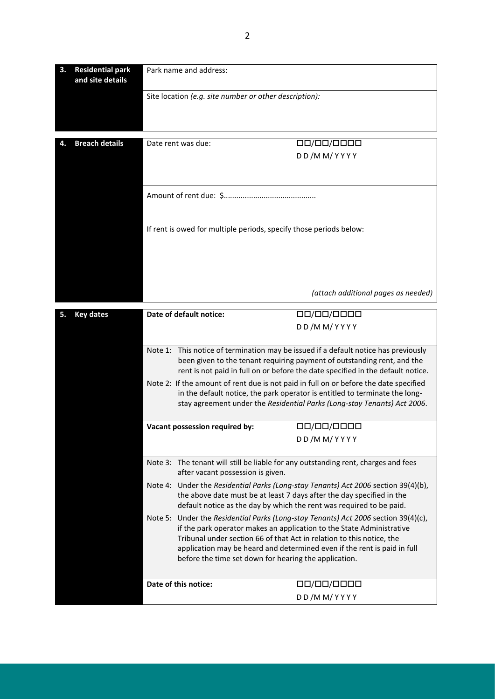| 3. | <b>Residential park</b><br>and site details | Park name and address:                                                                                                                                                                                                                               |                                                                                                                                                                                                                                                                                                                                                                           |  |
|----|---------------------------------------------|------------------------------------------------------------------------------------------------------------------------------------------------------------------------------------------------------------------------------------------------------|---------------------------------------------------------------------------------------------------------------------------------------------------------------------------------------------------------------------------------------------------------------------------------------------------------------------------------------------------------------------------|--|
|    |                                             | Site location (e.g. site number or other description):                                                                                                                                                                                               |                                                                                                                                                                                                                                                                                                                                                                           |  |
|    |                                             |                                                                                                                                                                                                                                                      |                                                                                                                                                                                                                                                                                                                                                                           |  |
|    |                                             | Date rent was due:                                                                                                                                                                                                                                   |                                                                                                                                                                                                                                                                                                                                                                           |  |
| 4. | <b>Breach details</b>                       |                                                                                                                                                                                                                                                      | 00/00/0000<br>DD/MM/YYYY                                                                                                                                                                                                                                                                                                                                                  |  |
|    |                                             |                                                                                                                                                                                                                                                      |                                                                                                                                                                                                                                                                                                                                                                           |  |
|    |                                             |                                                                                                                                                                                                                                                      |                                                                                                                                                                                                                                                                                                                                                                           |  |
|    |                                             |                                                                                                                                                                                                                                                      |                                                                                                                                                                                                                                                                                                                                                                           |  |
|    |                                             | If rent is owed for multiple periods, specify those periods below:                                                                                                                                                                                   |                                                                                                                                                                                                                                                                                                                                                                           |  |
|    |                                             |                                                                                                                                                                                                                                                      |                                                                                                                                                                                                                                                                                                                                                                           |  |
|    |                                             |                                                                                                                                                                                                                                                      |                                                                                                                                                                                                                                                                                                                                                                           |  |
|    |                                             |                                                                                                                                                                                                                                                      | (attach additional pages as needed)                                                                                                                                                                                                                                                                                                                                       |  |
|    | <b>Key dates</b>                            | Date of default notice:                                                                                                                                                                                                                              | 00/00/0000                                                                                                                                                                                                                                                                                                                                                                |  |
|    |                                             | DD/MM/YYYY                                                                                                                                                                                                                                           |                                                                                                                                                                                                                                                                                                                                                                           |  |
|    |                                             | This notice of termination may be issued if a default notice has previously<br>Note 1:<br>been given to the tenant requiring payment of outstanding rent, and the<br>rent is not paid in full on or before the date specified in the default notice. |                                                                                                                                                                                                                                                                                                                                                                           |  |
|    |                                             | Note 2: If the amount of rent due is not paid in full on or before the date specified<br>in the default notice, the park operator is entitled to terminate the long-<br>stay agreement under the Residential Parks (Long-stay Tenants) Act 2006.     |                                                                                                                                                                                                                                                                                                                                                                           |  |
|    |                                             | Vacant possession required by:                                                                                                                                                                                                                       | 00/00/0000                                                                                                                                                                                                                                                                                                                                                                |  |
|    |                                             |                                                                                                                                                                                                                                                      | DD/MM/YYYY                                                                                                                                                                                                                                                                                                                                                                |  |
|    |                                             | Note 3: The tenant will still be liable for any outstanding rent, charges and fees<br>after vacant possession is given.                                                                                                                              |                                                                                                                                                                                                                                                                                                                                                                           |  |
|    |                                             | Note 4: Under the Residential Parks (Long-stay Tenants) Act 2006 section 39(4)(b),                                                                                                                                                                   | the above date must be at least 7 days after the day specified in the<br>default notice as the day by which the rent was required to be paid.                                                                                                                                                                                                                             |  |
|    |                                             |                                                                                                                                                                                                                                                      | Note 5: Under the Residential Parks (Long-stay Tenants) Act 2006 section 39(4)(c),<br>if the park operator makes an application to the State Administrative<br>Tribunal under section 66 of that Act in relation to this notice, the<br>application may be heard and determined even if the rent is paid in full<br>before the time set down for hearing the application. |  |
|    |                                             | Date of this notice:                                                                                                                                                                                                                                 | 00/00/0000                                                                                                                                                                                                                                                                                                                                                                |  |
|    |                                             |                                                                                                                                                                                                                                                      | DD/MM/YYYY                                                                                                                                                                                                                                                                                                                                                                |  |